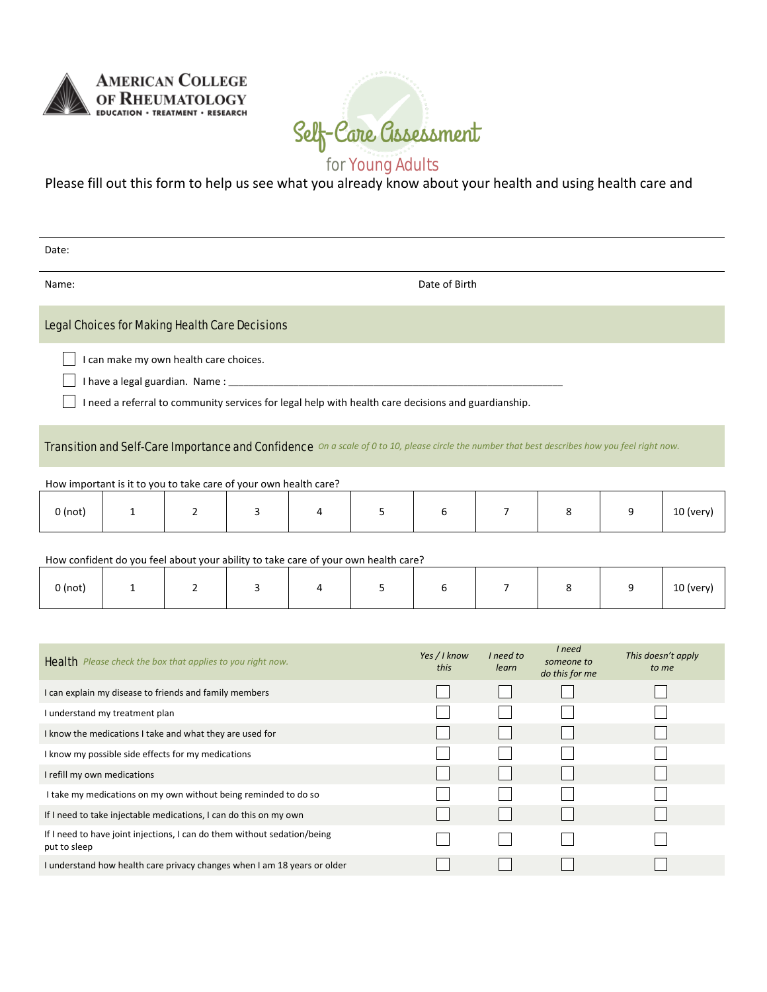

I take my medications on my own without being reminded to do so If I need to take injectable medications, I can do this on my own If I need to have joint injections, I can do them without sedation/being

I understand how health care privacy changes when I am 18 years or older

put to sleep



## for Young Adults

Please fill out this form to help us see what you already know about your health and using health care and

| Date:                                                                                                                                          |                                                          |                |   |   |   |                      |                    |                                        |                             |             |  |  |  |
|------------------------------------------------------------------------------------------------------------------------------------------------|----------------------------------------------------------|----------------|---|---|---|----------------------|--------------------|----------------------------------------|-----------------------------|-------------|--|--|--|
| Date of Birth<br>Name:                                                                                                                         |                                                          |                |   |   |   |                      |                    |                                        |                             |             |  |  |  |
| <b>Legal Choices for Making Health Care Decisions</b>                                                                                          |                                                          |                |   |   |   |                      |                    |                                        |                             |             |  |  |  |
| I can make my own health care choices.<br>I need a referral to community services for legal help with health care decisions and guardianship.  |                                                          |                |   |   |   |                      |                    |                                        |                             |             |  |  |  |
| Transition and Self-Care Importance and Confidence On a scale of 0 to 10, please circle the number that best describes how you feel right now. |                                                          |                |   |   |   |                      |                    |                                        |                             |             |  |  |  |
| How important is it to you to take care of your own health care?                                                                               |                                                          |                |   |   |   |                      |                    |                                        |                             |             |  |  |  |
| $0$ (not)                                                                                                                                      | $\mathbf{1}$                                             | $\overline{2}$ | 3 | 4 | 5 | 6                    | $\overline{7}$     | 8                                      | 9                           | 10 (very)   |  |  |  |
| How confident do you feel about your ability to take care of your own health care?                                                             |                                                          |                |   |   |   |                      |                    |                                        |                             |             |  |  |  |
| $0$ (not)                                                                                                                                      | 1                                                        | 2              | 3 | 4 | 5 | 6                    | $\overline{7}$     | 8                                      | 9                           | $10$ (very) |  |  |  |
|                                                                                                                                                |                                                          |                |   |   |   |                      |                    |                                        |                             |             |  |  |  |
| <b>Health</b> Please check the box that applies to you right now.                                                                              |                                                          |                |   |   |   | Yes / I know<br>this | I need to<br>learn | I need<br>someone to<br>do this for me | This doesn't apply<br>to me |             |  |  |  |
| I can explain my disease to friends and family members                                                                                         |                                                          |                |   |   |   |                      |                    |                                        |                             |             |  |  |  |
| I understand my treatment plan                                                                                                                 |                                                          |                |   |   |   |                      |                    |                                        |                             |             |  |  |  |
|                                                                                                                                                | I know the medications I take and what they are used for |                |   |   |   |                      |                    |                                        |                             |             |  |  |  |
|                                                                                                                                                | I know my possible side effects for my medications       |                |   |   |   |                      |                    |                                        |                             |             |  |  |  |
| I refill my own medications                                                                                                                    |                                                          |                |   |   |   |                      |                    |                                        |                             |             |  |  |  |

 $\Box$ 

 $\Box$ 

 $\Box$ 

 $\Box$ 

 $\Box$ 

 $\Box$ 

 $\Box$ 

 $\Box$ 

 $\Box$ 

 $\Box$ 

 $\Box$ 

 $\Box$ 

 $\Box$ 

 $\overline{\phantom{a}}$ 

 $\Box$